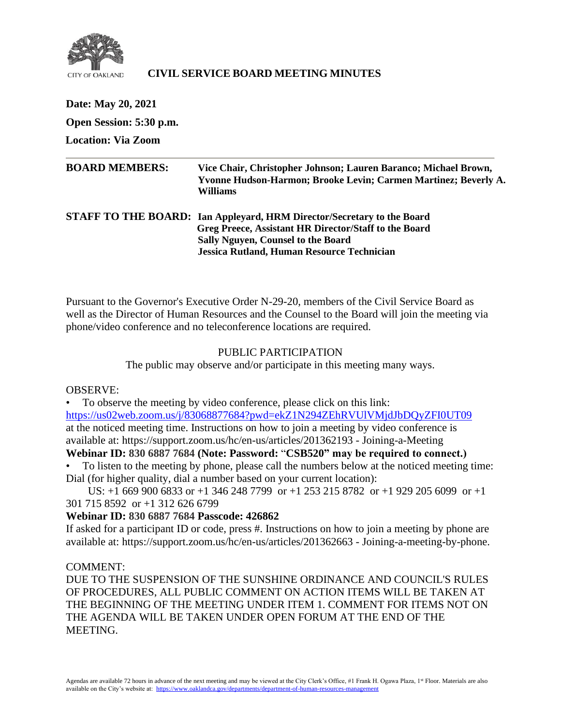

## **CIVIL SERVICE BOARD MEETING MINUTES**

| Date: May 20, 2021        |                                                                                                                                                                                                                            |
|---------------------------|----------------------------------------------------------------------------------------------------------------------------------------------------------------------------------------------------------------------------|
| Open Session: 5:30 p.m.   |                                                                                                                                                                                                                            |
| <b>Location: Via Zoom</b> |                                                                                                                                                                                                                            |
| <b>BOARD MEMBERS:</b>     | Vice Chair, Christopher Johnson; Lauren Baranco; Michael Brown,<br>Yvonne Hudson-Harmon; Brooke Levin; Carmen Martinez; Beverly A.<br>Williams                                                                             |
|                           | STAFF TO THE BOARD: Ian Appleyard, HRM Director/Secretary to the Board<br>Greg Preece, Assistant HR Director/Staff to the Board<br>Sally Nguyen, Counsel to the Board<br><b>Jessica Rutland, Human Resource Technician</b> |

Pursuant to the Governor's Executive Order N-29-20, members of the Civil Service Board as well as the Director of Human Resources and the Counsel to the Board will join the meeting via phone/video conference and no teleconference locations are required.

#### PUBLIC PARTICIPATION

The public may observe and/or participate in this meeting many ways.

#### OBSERVE:

• To observe the meeting by video conference, please click on this link: <https://us02web.zoom.us/j/83068877684?pwd=ekZ1N294ZEhRVUlVMjdJbDQyZFI0UT09> at the noticed meeting time. Instructions on how to join a meeting by video conference is available at: https://support.zoom.us/hc/en-us/articles/201362193 - Joining-a-Meeting

# **Webinar ID: 830 6887 7684 (Note: Password:** "**CSB520" may be required to connect.)**

• To listen to the meeting by phone, please call the numbers below at the noticed meeting time: Dial (for higher quality, dial a number based on your current location):

 US: +1 669 900 6833 or +1 346 248 7799 or +1 253 215 8782 or +1 929 205 6099 or +1 301 715 8592 or +1 312 626 6799

## **Webinar ID: 830 6887 7684 Passcode: 426862**

If asked for a participant ID or code, press #. Instructions on how to join a meeting by phone are available at: https://support.zoom.us/hc/en-us/articles/201362663 - Joining-a-meeting-by-phone.

#### COMMENT:

DUE TO THE SUSPENSION OF THE SUNSHINE ORDINANCE AND COUNCIL'S RULES OF PROCEDURES, ALL PUBLIC COMMENT ON ACTION ITEMS WILL BE TAKEN AT THE BEGINNING OF THE MEETING UNDER ITEM 1. COMMENT FOR ITEMS NOT ON THE AGENDA WILL BE TAKEN UNDER OPEN FORUM AT THE END OF THE MEETING.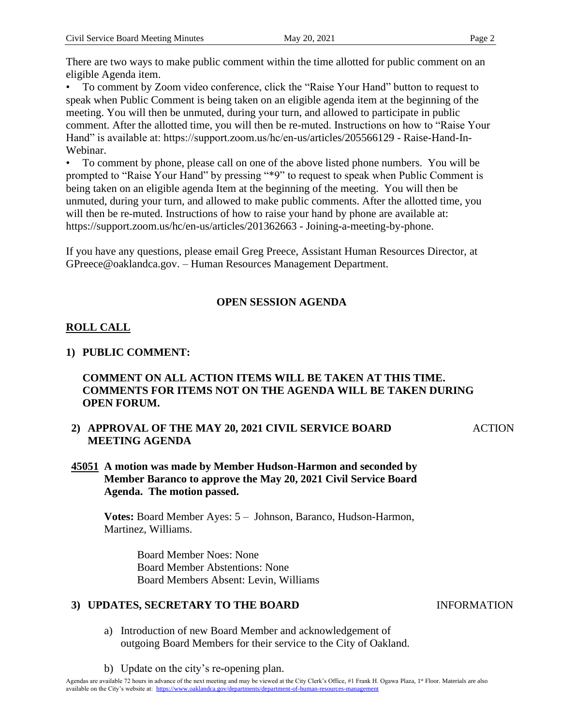There are two ways to make public comment within the time allotted for public comment on an eligible Agenda item.

• To comment by Zoom video conference, click the "Raise Your Hand" button to request to speak when Public Comment is being taken on an eligible agenda item at the beginning of the meeting. You will then be unmuted, during your turn, and allowed to participate in public comment. After the allotted time, you will then be re-muted. Instructions on how to "Raise Your Hand" is available at: https://support.zoom.us/hc/en-us/articles/205566129 - Raise-Hand-In-Webinar.

• To comment by phone, please call on one of the above listed phone numbers. You will be prompted to "Raise Your Hand" by pressing "\*9" to request to speak when Public Comment is being taken on an eligible agenda Item at the beginning of the meeting. You will then be unmuted, during your turn, and allowed to make public comments. After the allotted time, you will then be re-muted. Instructions of how to raise your hand by phone are available at: https://support.zoom.us/hc/en-us/articles/201362663 - Joining-a-meeting-by-phone.

If you have any questions, please email Greg Preece, Assistant Human Resources Director, at GPreece@oaklandca.gov. – Human Resources Management Department.

# **OPEN SESSION AGENDA**

# **ROLL CALL**

## **1) PUBLIC COMMENT:**

## **COMMENT ON ALL ACTION ITEMS WILL BE TAKEN AT THIS TIME. COMMENTS FOR ITEMS NOT ON THE AGENDA WILL BE TAKEN DURING OPEN FORUM.**

**2) APPROVAL OF THE MAY 20, 2021 CIVIL SERVICE BOARD MEETING AGENDA**

**ACTION** 

## **45051 A motion was made by Member Hudson-Harmon and seconded by Member Baranco to approve the May 20, 2021 Civil Service Board Agenda. The motion passed.**

**Votes:** Board Member Ayes: 5 – Johnson, Baranco, Hudson-Harmon, Martinez, Williams.

> Board Member Noes: None Board Member Abstentions: None Board Members Absent: Levin, Williams

## **3) UPDATES, SECRETARY TO THE BOARD**

- a) Introduction of new Board Member and acknowledgement of outgoing Board Members for their service to the City of Oakland.
- b) Update on the city's re-opening plan.

#### INFORMATION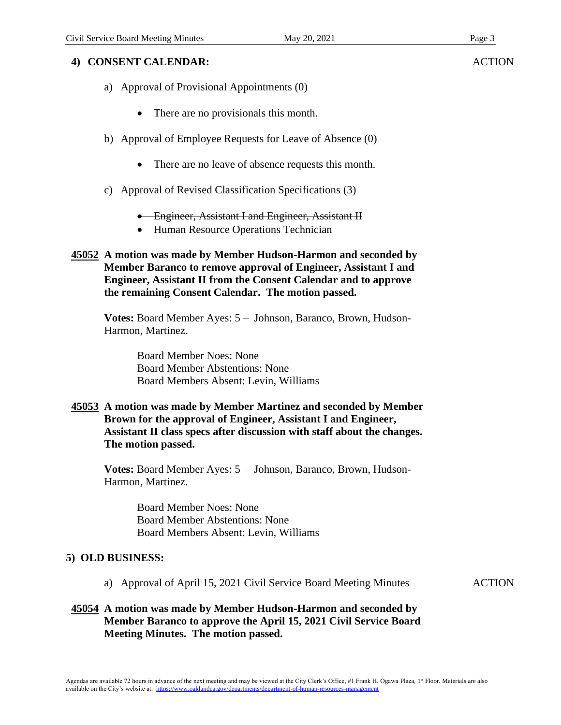## **4) CONSENT CALENDAR:**

- a) Approval of Provisional Appointments (0)
	- There are no provisionals this month.
- b) Approval of Employee Requests for Leave of Absence (0)
	- There are no leave of absence requests this month.
- c) Approval of Revised Classification Specifications (3)
	- **•** Engineer, Assistant I and Engineer, Assistant II
	- Human Resource Operations Technician
- **45052 A motion was made by Member Hudson-Harmon and seconded by Member Baranco to remove approval of Engineer, Assistant I and Engineer, Assistant II from the Consent Calendar and to approve the remaining Consent Calendar. The motion passed.**

**Votes:** Board Member Ayes: 5 – Johnson, Baranco, Brown, Hudson-Harmon, Martinez.

> Board Member Noes: None Board Member Abstentions: None Board Members Absent: Levin, Williams

**45053 A motion was made by Member Martinez and seconded by Member Brown for the approval of Engineer, Assistant I and Engineer, Assistant II class specs after discussion with staff about the changes. The motion passed.** 

**Votes:** Board Member Ayes: 5 – Johnson, Baranco, Brown, Hudson-Harmon, Martinez.

> Board Member Noes: None Board Member Abstentions: None Board Members Absent: Levin, Williams

#### **5) OLD BUSINESS:**

a) Approval of April 15, 2021 Civil Service Board Meeting Minutes ACTION

## **45054 A motion was made by Member Hudson-Harmon and seconded by Member Baranco to approve the April 15, 2021 Civil Service Board Meeting Minutes. The motion passed.**

**ACTION**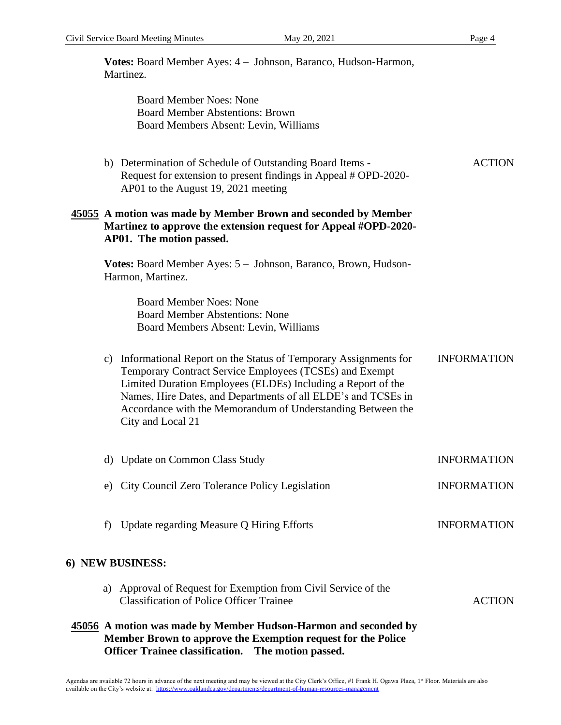**6**)

|                                                                                                                                                               | Votes: Board Member Ayes: 4 - Johnson, Baranco, Hudson-Harmon,<br>Martinez.                                                                                                                                                                                                                                                                     |                    |
|---------------------------------------------------------------------------------------------------------------------------------------------------------------|-------------------------------------------------------------------------------------------------------------------------------------------------------------------------------------------------------------------------------------------------------------------------------------------------------------------------------------------------|--------------------|
|                                                                                                                                                               | <b>Board Member Noes: None</b><br><b>Board Member Abstentions: Brown</b><br>Board Members Absent: Levin, Williams                                                                                                                                                                                                                               |                    |
|                                                                                                                                                               | b) Determination of Schedule of Outstanding Board Items -<br>Request for extension to present findings in Appeal # OPD-2020-<br>AP01 to the August 19, 2021 meeting                                                                                                                                                                             | <b>ACTION</b>      |
| 45055 A motion was made by Member Brown and seconded by Member<br>Martinez to approve the extension request for Appeal #OPD-2020-<br>AP01. The motion passed. |                                                                                                                                                                                                                                                                                                                                                 |                    |
|                                                                                                                                                               | Votes: Board Member Ayes: 5 - Johnson, Baranco, Brown, Hudson-<br>Harmon, Martinez.                                                                                                                                                                                                                                                             |                    |
|                                                                                                                                                               | <b>Board Member Noes: None</b><br><b>Board Member Abstentions: None</b><br>Board Members Absent: Levin, Williams                                                                                                                                                                                                                                |                    |
| c)                                                                                                                                                            | Informational Report on the Status of Temporary Assignments for<br>Temporary Contract Service Employees (TCSEs) and Exempt<br>Limited Duration Employees (ELDEs) Including a Report of the<br>Names, Hire Dates, and Departments of all ELDE's and TCSEs in<br>Accordance with the Memorandum of Understanding Between the<br>City and Local 21 | <b>INFORMATION</b> |
|                                                                                                                                                               | d) Update on Common Class Study                                                                                                                                                                                                                                                                                                                 | <b>INFORMATION</b> |
|                                                                                                                                                               | e) City Council Zero Tolerance Policy Legislation                                                                                                                                                                                                                                                                                               | <b>INFORMATION</b> |
| f)                                                                                                                                                            | Update regarding Measure Q Hiring Efforts                                                                                                                                                                                                                                                                                                       | <b>INFORMATION</b> |
|                                                                                                                                                               | ) NEW BUSINESS:                                                                                                                                                                                                                                                                                                                                 |                    |
|                                                                                                                                                               | a) Approval of Request for Exemption from Civil Service of the<br><b>Classification of Police Officer Trainee</b>                                                                                                                                                                                                                               | <b>ACTION</b>      |
|                                                                                                                                                               | 45056 A motion was made by Member Hudson-Harmon and seconded by<br>Member Brown to approve the Exemption request for the Police<br><b>Officer Trainee classification.</b><br>The motion passed.                                                                                                                                                 |                    |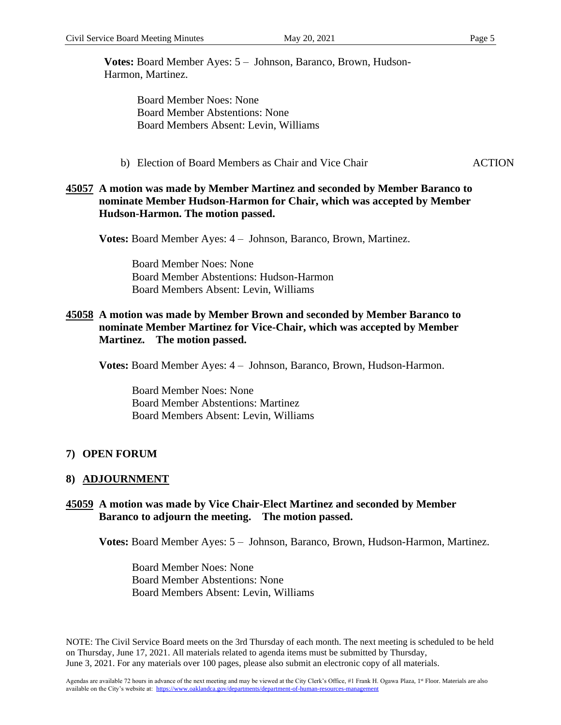**Votes:** Board Member Ayes: 5 – Johnson, Baranco, Brown, Hudson-Harmon, Martinez.

> Board Member Noes: None Board Member Abstentions: None Board Members Absent: Levin, Williams

b) Election of Board Members as Chair and Vice Chair **ACTION** 

#### **45057 A motion was made by Member Martinez and seconded by Member Baranco to nominate Member Hudson-Harmon for Chair, which was accepted by Member Hudson-Harmon. The motion passed.**

**Votes:** Board Member Ayes: 4 – Johnson, Baranco, Brown, Martinez.

 Board Member Noes: None Board Member Abstentions: Hudson-Harmon Board Members Absent: Levin, Williams

#### **45058 A motion was made by Member Brown and seconded by Member Baranco to nominate Member Martinez for Vice-Chair, which was accepted by Member Martinez. The motion passed.**

**Votes:** Board Member Ayes: 4 – Johnson, Baranco, Brown, Hudson-Harmon.

 Board Member Noes: None Board Member Abstentions: Martinez Board Members Absent: Levin, Williams

## **7) OPEN FORUM**

#### **8) ADJOURNMENT**

#### **45059 A motion was made by Vice Chair-Elect Martinez and seconded by Member Baranco to adjourn the meeting. The motion passed.**

**Votes:** Board Member Ayes: 5 – Johnson, Baranco, Brown, Hudson-Harmon, Martinez.

 Board Member Noes: None Board Member Abstentions: None Board Members Absent: Levin, Williams

NOTE: The Civil Service Board meets on the 3rd Thursday of each month. The next meeting is scheduled to be held on Thursday, June 17, 2021. All materials related to agenda items must be submitted by Thursday, June 3, 2021. For any materials over 100 pages, please also submit an electronic copy of all materials.